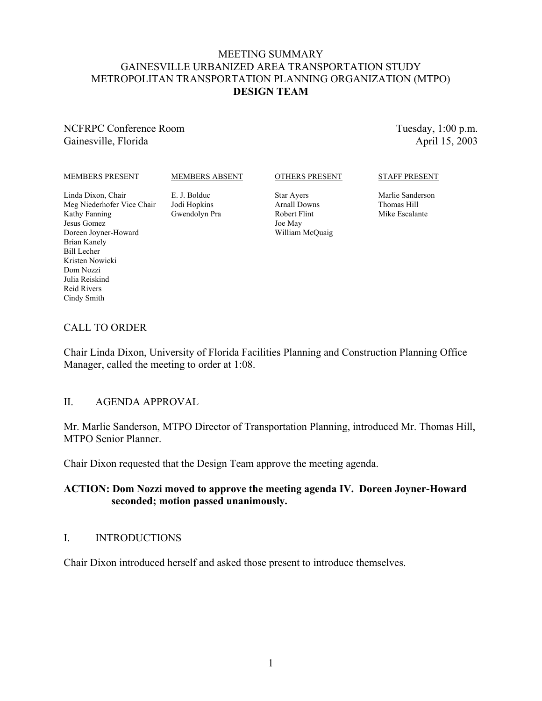#### MEETING SUMMARY GAINESVILLE URBANIZED AREA TRANSPORTATION STUDY METROPOLITAN TRANSPORTATION PLANNING ORGANIZATION (MTPO) **DESIGN TEAM**

NCFRPC Conference Room Gainesville, Florida

Tuesday, 1:00 p.m. April 15, 2003

#### MEMBERS PRESENT

MEMBERS ABSENT

#### OTHERS PRESENT

Star Ayers Arnall Downs Robert Flint Joe May William McQuaig

#### STAFF PRESENT

Marlie Sanderson Thomas Hill Mike Escalante

Linda Dixon, Chair Meg Niederhofer Vice Chair Kathy Fanning Jesus Gomez Doreen Joyner-Howard Brian Kanely Bill Lecher Kristen Nowicki Dom Nozzi Julia Reiskind Reid Rivers Cindy Smith

CALL TO ORDER

#### E. J. Bolduc Jodi Hopkins Gwendolyn Pra

Chair Linda Dixon, University of Florida Facilities Planning and Construction Planning Office Manager, called the meeting to order at 1:08.

#### II. AGENDA APPROVAL

Mr. Marlie Sanderson, MTPO Director of Transportation Planning, introduced Mr. Thomas Hill, MTPO Senior Planner.

Chair Dixon requested that the Design Team approve the meeting agenda.

### **ACTION: Dom Nozzi moved to approve the meeting agenda IV. Doreen Joyner-Howard seconded; motion passed unanimously.**

#### I. INTRODUCTIONS

Chair Dixon introduced herself and asked those present to introduce themselves.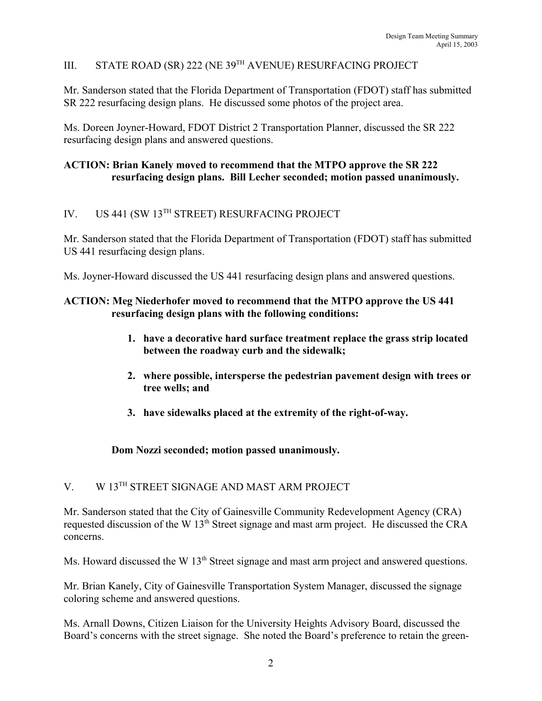# III. STATE ROAD (SR) 222 (NE 39TH AVENUE) RESURFACING PROJECT

Mr. Sanderson stated that the Florida Department of Transportation (FDOT) staff has submitted SR 222 resurfacing design plans. He discussed some photos of the project area.

Ms. Doreen Joyner-Howard, FDOT District 2 Transportation Planner, discussed the SR 222 resurfacing design plans and answered questions.

#### **ACTION: Brian Kanely moved to recommend that the MTPO approve the SR 222 resurfacing design plans. Bill Lecher seconded; motion passed unanimously.**

# IV. US 441 (SW 13TH STREET) RESURFACING PROJECT

Mr. Sanderson stated that the Florida Department of Transportation (FDOT) staff has submitted US 441 resurfacing design plans.

Ms. Joyner-Howard discussed the US 441 resurfacing design plans and answered questions.

#### **ACTION: Meg Niederhofer moved to recommend that the MTPO approve the US 441 resurfacing design plans with the following conditions:**

- **1. have a decorative hard surface treatment replace the grass strip located between the roadway curb and the sidewalk;**
- **2. where possible, intersperse the pedestrian pavement design with trees or tree wells; and**
- **3. have sidewalks placed at the extremity of the right-of-way.**

#### **Dom Nozzi seconded; motion passed unanimously.**

## V. W 13TH STREET SIGNAGE AND MAST ARM PROJECT

Mr. Sanderson stated that the City of Gainesville Community Redevelopment Agency (CRA) requested discussion of the W 13<sup>th</sup> Street signage and mast arm project. He discussed the CRA concerns.

Ms. Howard discussed the W 13<sup>th</sup> Street signage and mast arm project and answered questions.

Mr. Brian Kanely, City of Gainesville Transportation System Manager, discussed the signage coloring scheme and answered questions.

Ms. Arnall Downs, Citizen Liaison for the University Heights Advisory Board, discussed the Board's concerns with the street signage. She noted the Board's preference to retain the green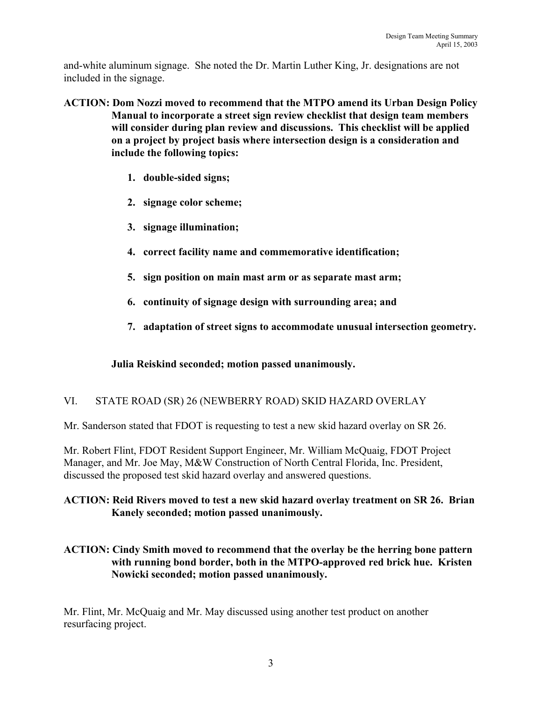and-white aluminum signage. She noted the Dr. Martin Luther King, Jr. designations are not included in the signage.

- **ACTION: Dom Nozzi moved to recommend that the MTPO amend its Urban Design Policy Manual to incorporate a street sign review checklist that design team members will consider during plan review and discussions. This checklist will be applied on a project by project basis where intersection design is a consideration and include the following topics:** 
	- **1. double-sided signs;**
	- **2. signage color scheme;**
	- **3. signage illumination;**
	- **4. correct facility name and commemorative identification;**
	- **5. sign position on main mast arm or as separate mast arm;**
	- **6. continuity of signage design with surrounding area; and**
	- **7. adaptation of street signs to accommodate unusual intersection geometry.**

## **Julia Reiskind seconded; motion passed unanimously.**

# VI. STATE ROAD (SR) 26 (NEWBERRY ROAD) SKID HAZARD OVERLAY

Mr. Sanderson stated that FDOT is requesting to test a new skid hazard overlay on SR 26.

Mr. Robert Flint, FDOT Resident Support Engineer, Mr. William McQuaig, FDOT Project Manager, and Mr. Joe May, M&W Construction of North Central Florida, Inc. President, discussed the proposed test skid hazard overlay and answered questions.

## **ACTION: Reid Rivers moved to test a new skid hazard overlay treatment on SR 26. Brian Kanely seconded; motion passed unanimously.**

## **ACTION: Cindy Smith moved to recommend that the overlay be the herring bone pattern with running bond border, both in the MTPO-approved red brick hue. Kristen Nowicki seconded; motion passed unanimously.**

Mr. Flint, Mr. McQuaig and Mr. May discussed using another test product on another resurfacing project.